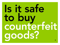# Is it safe to buy counterfeit goods?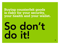# <span id="page-1-0"></span>**Buying counterfeit goods is risky for your security, your health and your wallet.**

# So don't do it!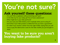# <span id="page-2-0"></span>You're not sure?

# **Ask yourself these questions:**

- Are your fake sunglasses really protecting your eyes?
- Is the fake toy for your baby girl free of toxic substances?
- What might be in your fake perfume?
- Are you sure your fake battery won't explode when you're using it?
- And what if your fake product is defective? Do you have a guarantee?
- Or what if you receive a letter from the right holder saying that you will have to pay the destruction costs for the fake mobile you just bought in Asia?

# **You want to be sure you aren't buying fake products?**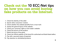# <span id="page-3-0"></span>**Check out the** 10 ECC-Net tips **on how you can avoid buying fake products on the Internet.**

- 1. [Check the identity of the seller](#page-4-0)
- 2. [Search other consumers' reviews](#page-5-0)
- 3. Check whether the website benefits from a trust mark
- 4. [Assess the general layout of the website](#page-7-0)
- 5. [Check your consumer rights on the trader's website](#page-8-0)
- 6. [Check the picture of the product](#page-9-0)
- 7. [Watch the price of the good](#page-10-0)
- 8. Check the official website of the brand for authorized and [black-listed](#page-11-0) sellers

- 9. [Pay with a secured means of payment](#page-12-0)
- 10. [Pay attention to refurbished products](#page-13-0)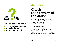<span id="page-4-0"></span>

- name of the company ✓ geographical address ✓ e-mail address
- ✓ phone number(s)

### ECC-Net tip 1

# **Check the identity of the seller**

Always check the contact details of the webshop to verify if it really exists, and where and how to complain in case of a problem.

Here are the details to verify:

- the name of the company,
- the geographical address,
- the e-mail address or a genuine contact form,
- the phone and fax number(s) if available.

Do not trust the URL address. Just because an address ends with ".be", ".fr", "nl" or any other European extension does not necessarily mean that the company is actually located within the EU.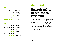<span id="page-5-0"></span>

 $\star \star \star \star \star$  Xavier X. Yolanda Y.  $\star \star \star \star \star$  Zora Z.  $\star \star \star \star \star$  Xavier X. Zora Z.  $\star \star \star \star \star$  Xavier X. ✗

### ECC-Net tip 2

# **Search other consumers' reviews**

Use Internet search tools to check whether other consumers have left any good or bad comments about the trader. Read these comments carefully, and keep a critical eye. Excessively positive review? The same person reviewing the same product on several websites? Review too vague? Be careful! It could be a review left by the webshop itself, which is, of course, illegal.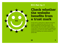<span id="page-6-0"></span>

### ECC-Net tip 3

## **Check whether the website benefits from a trust mark**

A trust mark is a stamp that an objective third party awards to a webshop that meets the trust mark quality requirements and that guarantees a safe online purchase. Does the trader's website mention a trust mark? To be sure the trustmark is justified and trusthworthy, go to the trust mark's website to check whether the webshop was actually awarded this quality label.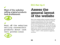Most of the websites selling original products look professional.



✗

<span id="page-7-0"></span>✔

Most off the websites selling coutnerfeit products donut look veri professional

### ECC-Net tip 4

## Assess the **general layout of the website**

Most of the websites selling counterfeit products do not look very professional: they often have spelling mistakes and grammatical errors, poor quality pictures of the products being sold or of the logos for the means of payment, etc. The fact that the website is in your language doesn't mean that it's actually based in your country. Do not trust websites whose URL links the name of a brand with terms such as "cheap", "outlet" or other expressions suggesting low prices.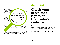<span id="page-8-0"></span>Online traders are obliged to provide you with information about your consumer rights, such as the 14-day withdrawal right or the statutory guarantee for 2 years. with the EU legislation? Make a right-mous account (are VAT, delive original products.  $G_{\text{max}}$  of the official website of the brand to check when the brand to check when the brand to check when the brand to check when the brand to check when the brand to check when the brand to check wh webshop you are visiting is  $\mathcal{A}$  is not black-listed.

This kind of information is generally provided in the terms and conditions. The terms and conditions and conditions. The terms and conditions are terms and conditions. The terms and conditions are terms and conditions. Th visited webshop does not include any terms and comply  $\sim$  comply Do the pictures displayed on the  $\overline{A}$  and  $\overline{A}$  setup set  $\overline{A}$ Do the pictures display **14-day with**logo located at the same place, is the lining similar similar similar similar similar similar similar similar logo located at the **copied from the copy of the brand.** Counterfeit production  $\mathbf{r}$  and  $\mathbf{a}$  and  $\mathbf{a}$  and  $\mathbf{a}$  in  $\mathbf{a}$  $\sigma_{\mathsf{c}^{\mathsf{outerte}}$ it produser to the legal warranis" is a principle that  $\bullet \bullet \bullet \bullet \bullet \bullet \bullet \bullet \bullet \bullet$  $\frac{a}{b}$  is a principle that **ty of at least** Most of the major brands only  $\blacksquare$   $\blacksquare$   $\blacksquare$   $\blacksquare$   $\blacksquare$   $\blacksquare$   $\blacksquare$   $\blacksquare$   $\blacksquare$   $\blacksquare$   $\blacksquare$   $\blacksquare$   $\blacksquare$   $\blacksquare$   $\blacksquare$   $\blacksquare$   $\blacksquare$   $\blacksquare$   $\blacksquare$   $\blacksquare$   $\blacksquare$   $\blacksquare$   $\blacksquare$   $\blacksquare$   $\blacksquare$   $\blacksquare$   $\blacksquare$   $\$ products. Ordering products from the set of the set of the young set of the set of the set of the set of the set of the set of the set of the set of the set of the set of the set of the set of the set of the set of the set 2 years.

When you **pay for a purchase on the Internet**, you need to follow 3 golden principles: 1. *ples: 1. also a secured payment page (displaying a padlock or key logo,* and whose URL address begins with "https"), 2. pay by credit card by preference, able to recover your money from the credit card issuer in case of oid direct money transfers (such as Western Union, Worldremit, Worldneycorp, ...).

The  $\epsilon$  is no clear definition of refurbished products. Is it considered as new or not? This makes a difference to your guarantee, and to what you can except from such a product. Consider the price you pay. Compare it with other original products.

### ECC-Net tip 5

## **Check your consumer rights on the trader's website**

Online traders are obliged to provide you with clear and correct information about your consumer rights, such as the 14-day withdrawal right or the legal warranty of at least 2 years. No information on your EU consumer law? No indication of the ODR platform for redress? Look somewhere else!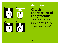# <span id="page-9-0"></span> $\checkmark$

www.brand.xx www.brand.xx





www.webshop.xx www.webshop.xx



### ECC-Net tip 6

# **Check the picture of the product**

Do the pictures shown on the webshop look unprofessional? Is there something wrong with the logo or does the background look strange? Are the photos of low-quality? Is it impossible to zoom in? Is only part of the item displayed? These may be indicators of a website that is selling fake products.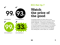<span id="page-10-0"></span>

www.webshop.xx

www.webshop.xx

### ECC-Net tip 7

# **Watch the price of the good**

Counterfeit products are often sold at a price considerably lower than the price quoted on official retailer webshops. "If the price is too good to be true, it usually is" is a principle that you should bear in mind when buying on the Internet. Do not hesitate to compare prices on several websites, and always take the total price into account (are VAT, delivery cost, banking fees, custom duties, etc. included?)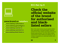<span id="page-11-0"></span>

### www.brand.xx/retailers

- ✓ www.webshop-authorised.xx
- ✓ www.webshop-gemachtigd.xx
- ✓ www.webshop-autorisé.xx
- ✓ www.webshop-autorisiert.xx
- ✗ www.webshop-black-listed.xx

### ECC-Net tip 8

### **Check the official website of the brand for authorised and blacklisted sellers**

Most of the major brands only give specific retailers their authorisation to sell their products. Ordering products from those retailers guarantees that you are buying original products. Go to the official website of the brand to check whether the webshop you are visiting is recognized as an authorised retailer, and is not black-listed.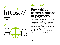# <span id="page-12-0"></span>✔✗ https://







### ECC-Net tip 9

# **Pay with a secured means of payment**

When you pay for a purchase on the Internet, you need to follow 3 golden principles:

- 1. always pay on a secured payment page (displaying a padlock or key logo, and whose URL address begins with "https"),
- 2. pay by credit card by preference, as you may be able to recover your money from the credit card issuer in case of fraud,
- 3. avoid direct money transfers (such as Western Union, Worldremit, Worldplay, Moneycorp, …).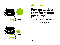<span id="page-13-0"></span>

### ECC-Net tip 10

# **Pay attention to refurbished products**

There is no clear definition of refurbished products. Is it considered as new or not? This makes a difference to your guarantee, and to what you can except from such a product. Consider the price you pay. Compare it with other original products.